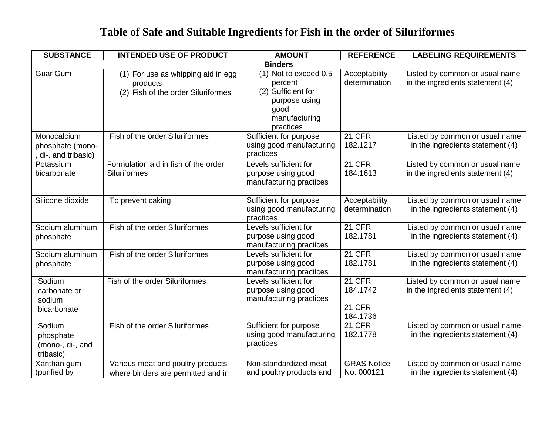| <b>SUBSTANCE</b>                                      | <b>INTENDED USE OF PRODUCT</b>                                                       | <b>AMOUNT</b>                                                                                                 | <b>REFERENCE</b>                                       | <b>LABELING REQUIREMENTS</b>                                       |
|-------------------------------------------------------|--------------------------------------------------------------------------------------|---------------------------------------------------------------------------------------------------------------|--------------------------------------------------------|--------------------------------------------------------------------|
|                                                       |                                                                                      | <b>Binders</b>                                                                                                |                                                        |                                                                    |
| <b>Guar Gum</b>                                       | (1) For use as whipping aid in egg<br>products<br>(2) Fish of the order Siluriformes | (1) Not to exceed 0.5<br>percent<br>(2) Sufficient for<br>purpose using<br>good<br>manufacturing<br>practices | Acceptability<br>determination                         | Listed by common or usual name<br>in the ingredients statement (4) |
| Monocalcium<br>phosphate (mono-<br>di-, and tribasic) | Fish of the order Siluriformes                                                       | Sufficient for purpose<br>using good manufacturing<br>practices                                               | <b>21 CFR</b><br>182.1217                              | Listed by common or usual name<br>in the ingredients statement (4) |
| Potassium<br>bicarbonate                              | Formulation aid in fish of the order<br><b>Siluriformes</b>                          | Levels sufficient for<br>purpose using good<br>manufacturing practices                                        | <b>21 CFR</b><br>184.1613                              | Listed by common or usual name<br>in the ingredients statement (4) |
| Silicone dioxide                                      | To prevent caking                                                                    | Sufficient for purpose<br>using good manufacturing<br>practices                                               | Acceptability<br>determination                         | Listed by common or usual name<br>in the ingredients statement (4) |
| Sodium aluminum<br>phosphate                          | Fish of the order Siluriformes                                                       | Levels sufficient for<br>purpose using good<br>manufacturing practices                                        | <b>21 CFR</b><br>182.1781                              | Listed by common or usual name<br>in the ingredients statement (4) |
| Sodium aluminum<br>phosphate                          | Fish of the order Siluriformes                                                       | Levels sufficient for<br>purpose using good<br>manufacturing practices                                        | <b>21 CFR</b><br>182.1781                              | Listed by common or usual name<br>in the ingredients statement (4) |
| Sodium<br>carbonate or<br>sodium<br>bicarbonate       | Fish of the order Siluriformes                                                       | Levels sufficient for<br>purpose using good<br>manufacturing practices                                        | <b>21 CFR</b><br>184.1742<br><b>21 CFR</b><br>184.1736 | Listed by common or usual name<br>in the ingredients statement (4) |
| Sodium<br>phosphate<br>(mono-, di-, and<br>tribasic)  | Fish of the order Siluriformes                                                       | Sufficient for purpose<br>using good manufacturing<br>practices                                               | <b>21 CFR</b><br>182.1778                              | Listed by common or usual name<br>in the ingredients statement (4) |
| Xanthan gum<br>(purified by                           | Various meat and poultry products<br>where binders are permitted and in              | Non-standardized meat<br>and poultry products and                                                             | <b>GRAS Notice</b><br>No. 000121                       | Listed by common or usual name<br>in the ingredients statement (4) |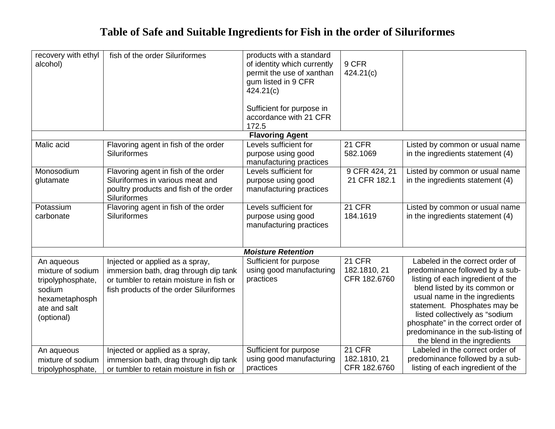| recovery with ethyl<br>alcohol)                                                                                | fish of the order Siluriformes                                                                                                                                  | products with a standard<br>of identity which currently<br>permit the use of xanthan<br>gum listed in 9 CFR<br>424.21(c)<br>Sufficient for purpose in<br>accordance with 21 CFR<br>172.5 | 9 CFR<br>424.21(c)                     |                                                                                                                                                                                                                                                                                                                                                         |  |
|----------------------------------------------------------------------------------------------------------------|-----------------------------------------------------------------------------------------------------------------------------------------------------------------|------------------------------------------------------------------------------------------------------------------------------------------------------------------------------------------|----------------------------------------|---------------------------------------------------------------------------------------------------------------------------------------------------------------------------------------------------------------------------------------------------------------------------------------------------------------------------------------------------------|--|
|                                                                                                                |                                                                                                                                                                 | <b>Flavoring Agent</b>                                                                                                                                                                   |                                        |                                                                                                                                                                                                                                                                                                                                                         |  |
| Malic acid                                                                                                     | Flavoring agent in fish of the order<br><b>Siluriformes</b>                                                                                                     | Levels sufficient for<br>purpose using good<br>manufacturing practices                                                                                                                   | 21 CFR<br>582.1069                     | Listed by common or usual name<br>in the ingredients statement (4)                                                                                                                                                                                                                                                                                      |  |
| Monosodium<br>glutamate                                                                                        | Flavoring agent in fish of the order<br>Siluriformes in various meat and<br>poultry products and fish of the order<br>Siluriformes                              | Levels sufficient for<br>purpose using good<br>manufacturing practices                                                                                                                   | 9 CFR 424, 21<br>21 CFR 182.1          | Listed by common or usual name<br>in the ingredients statement (4)                                                                                                                                                                                                                                                                                      |  |
| Potassium<br>carbonate                                                                                         | Flavoring agent in fish of the order<br>Siluriformes                                                                                                            | Levels sufficient for<br>purpose using good<br>manufacturing practices                                                                                                                   | $21$ CFR<br>184.1619                   | Listed by common or usual name<br>in the ingredients statement (4)                                                                                                                                                                                                                                                                                      |  |
| <b>Moisture Retention</b>                                                                                      |                                                                                                                                                                 |                                                                                                                                                                                          |                                        |                                                                                                                                                                                                                                                                                                                                                         |  |
| An aqueous<br>mixture of sodium<br>tripolyphosphate,<br>sodium<br>hexametaphosph<br>ate and salt<br>(optional) | Injected or applied as a spray,<br>immersion bath, drag through dip tank<br>or tumbler to retain moisture in fish or<br>fish products of the order Siluriformes | Sufficient for purpose<br>using good manufacturing<br>practices                                                                                                                          | 21 CFR<br>182.1810, 21<br>CFR 182.6760 | Labeled in the correct order of<br>predominance followed by a sub-<br>listing of each ingredient of the<br>blend listed by its common or<br>usual name in the ingredients<br>statement. Phosphates may be<br>listed collectively as "sodium<br>phosphate" in the correct order of<br>predominance in the sub-listing of<br>the blend in the ingredients |  |
| An aqueous<br>mixture of sodium<br>tripolyphosphate,                                                           | Injected or applied as a spray,<br>immersion bath, drag through dip tank<br>or tumbler to retain moisture in fish or                                            | Sufficient for purpose<br>using good manufacturing<br>practices                                                                                                                          | 21 CFR<br>182.1810, 21<br>CFR 182.6760 | Labeled in the correct order of<br>predominance followed by a sub-<br>listing of each ingredient of the                                                                                                                                                                                                                                                 |  |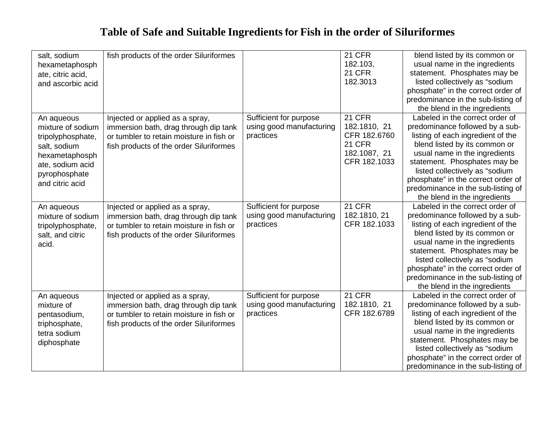| salt, sodium      | fish products of the order Siluriformes  |                          | <b>21 CFR</b> | blend listed by its common or      |
|-------------------|------------------------------------------|--------------------------|---------------|------------------------------------|
| hexametaphosph    |                                          |                          | 182.103,      | usual name in the ingredients      |
| ate, citric acid, |                                          |                          | 21 CFR        | statement. Phosphates may be       |
| and ascorbic acid |                                          |                          | 182.3013      | listed collectively as "sodium     |
|                   |                                          |                          |               | phosphate" in the correct order of |
|                   |                                          |                          |               | predominance in the sub-listing of |
|                   |                                          |                          |               | the blend in the ingredients       |
| An aqueous        | Injected or applied as a spray,          | Sufficient for purpose   | <b>21 CFR</b> | Labeled in the correct order of    |
| mixture of sodium | immersion bath, drag through dip tank    | using good manufacturing | 182.1810, 21  | predominance followed by a sub-    |
| tripolyphosphate, | or tumbler to retain moisture in fish or | practices                | CFR 182.6760  | listing of each ingredient of the  |
| salt, sodium      | fish products of the order Siluriformes  |                          | <b>21 CFR</b> | blend listed by its common or      |
| hexametaphosph    |                                          |                          | 182.1087, 21  | usual name in the ingredients      |
| ate, sodium acid  |                                          |                          | CFR 182.1033  | statement. Phosphates may be       |
| pyrophosphate     |                                          |                          |               | listed collectively as "sodium     |
| and citric acid   |                                          |                          |               | phosphate" in the correct order of |
|                   |                                          |                          |               | predominance in the sub-listing of |
|                   |                                          |                          |               | the blend in the ingredients       |
| An aqueous        | Injected or applied as a spray,          | Sufficient for purpose   | <b>21 CFR</b> | Labeled in the correct order of    |
| mixture of sodium | immersion bath, drag through dip tank    | using good manufacturing | 182.1810, 21  | predominance followed by a sub-    |
| tripolyphosphate, | or tumbler to retain moisture in fish or | practices                | CFR 182.1033  | listing of each ingredient of the  |
| salt, and citric  | fish products of the order Siluriformes  |                          |               | blend listed by its common or      |
| acid.             |                                          |                          |               | usual name in the ingredients      |
|                   |                                          |                          |               | statement. Phosphates may be       |
|                   |                                          |                          |               | listed collectively as "sodium     |
|                   |                                          |                          |               | phosphate" in the correct order of |
|                   |                                          |                          |               | predominance in the sub-listing of |
|                   |                                          |                          |               | the blend in the ingredients       |
| An aqueous        | Injected or applied as a spray,          | Sufficient for purpose   | <b>21 CFR</b> | Labeled in the correct order of    |
| mixture of        | immersion bath, drag through dip tank    | using good manufacturing | 182.1810, 21  | predominance followed by a sub-    |
| pentasodium,      | or tumbler to retain moisture in fish or | practices                | CFR 182.6789  | listing of each ingredient of the  |
| triphosphate,     | fish products of the order Siluriformes  |                          |               | blend listed by its common or      |
| tetra sodium      |                                          |                          |               | usual name in the ingredients      |
| diphosphate       |                                          |                          |               | statement. Phosphates may be       |
|                   |                                          |                          |               | listed collectively as "sodium     |
|                   |                                          |                          |               | phosphate" in the correct order of |
|                   |                                          |                          |               | predominance in the sub-listing of |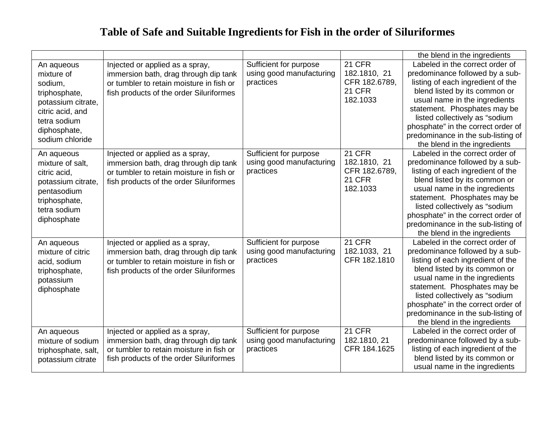|                                                                                                                                                   |                                                                                                                                                                 |                                                                 |                                                                             | the blend in the ingredients                                                                                                                                                                                                                                                                                                                            |
|---------------------------------------------------------------------------------------------------------------------------------------------------|-----------------------------------------------------------------------------------------------------------------------------------------------------------------|-----------------------------------------------------------------|-----------------------------------------------------------------------------|---------------------------------------------------------------------------------------------------------------------------------------------------------------------------------------------------------------------------------------------------------------------------------------------------------------------------------------------------------|
| An aqueous<br>mixture of<br>sodium,<br>triphosphate,<br>potassium citrate,<br>citric acid, and<br>tetra sodium<br>diphosphate,<br>sodium chloride | Injected or applied as a spray,<br>immersion bath, drag through dip tank<br>or tumbler to retain moisture in fish or<br>fish products of the order Siluriformes | Sufficient for purpose<br>using good manufacturing<br>practices | <b>21 CFR</b><br>182.1810, 21<br>CFR 182.6789,<br><b>21 CFR</b><br>182.1033 | Labeled in the correct order of<br>predominance followed by a sub-<br>listing of each ingredient of the<br>blend listed by its common or<br>usual name in the ingredients<br>statement. Phosphates may be<br>listed collectively as "sodium<br>phosphate" in the correct order of<br>predominance in the sub-listing of<br>the blend in the ingredients |
| An aqueous<br>mixture of salt,<br>citric acid.<br>potassium citrate,<br>pentasodium<br>triphosphate,<br>tetra sodium<br>diphosphate               | Injected or applied as a spray,<br>immersion bath, drag through dip tank<br>or tumbler to retain moisture in fish or<br>fish products of the order Siluriformes | Sufficient for purpose<br>using good manufacturing<br>practices | <b>21 CFR</b><br>182.1810, 21<br>CFR 182.6789,<br><b>21 CFR</b><br>182.1033 | Labeled in the correct order of<br>predominance followed by a sub-<br>listing of each ingredient of the<br>blend listed by its common or<br>usual name in the ingredients<br>statement. Phosphates may be<br>listed collectively as "sodium<br>phosphate" in the correct order of<br>predominance in the sub-listing of<br>the blend in the ingredients |
| An aqueous<br>mixture of citric<br>acid, sodium<br>triphosphate,<br>potassium<br>diphosphate                                                      | Injected or applied as a spray,<br>immersion bath, drag through dip tank<br>or tumbler to retain moisture in fish or<br>fish products of the order Siluriformes | Sufficient for purpose<br>using good manufacturing<br>practices | <b>21 CFR</b><br>182.1033, 21<br>CFR 182.1810                               | Labeled in the correct order of<br>predominance followed by a sub-<br>listing of each ingredient of the<br>blend listed by its common or<br>usual name in the ingredients<br>statement. Phosphates may be<br>listed collectively as "sodium<br>phosphate" in the correct order of<br>predominance in the sub-listing of<br>the blend in the ingredients |
| An aqueous<br>mixture of sodium<br>triphosphate, salt,<br>potassium citrate                                                                       | Injected or applied as a spray,<br>immersion bath, drag through dip tank<br>or tumbler to retain moisture in fish or<br>fish products of the order Siluriformes | Sufficient for purpose<br>using good manufacturing<br>practices | <b>21 CFR</b><br>182.1810, 21<br>CFR 184.1625                               | Labeled in the correct order of<br>predominance followed by a sub-<br>listing of each ingredient of the<br>blend listed by its common or<br>usual name in the ingredients                                                                                                                                                                               |